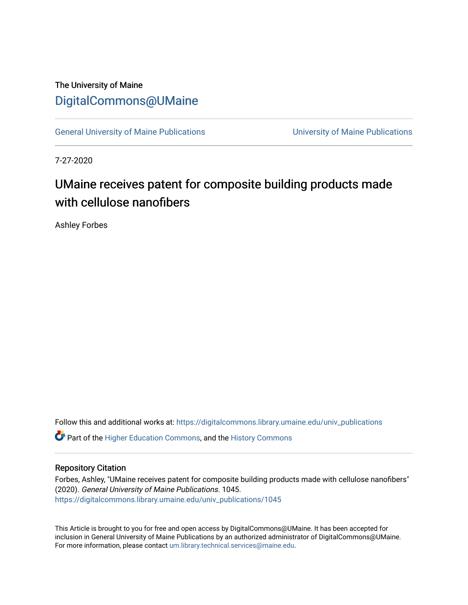## The University of Maine [DigitalCommons@UMaine](https://digitalcommons.library.umaine.edu/)

[General University of Maine Publications](https://digitalcommons.library.umaine.edu/univ_publications) [University of Maine Publications](https://digitalcommons.library.umaine.edu/umaine_publications) 

7-27-2020

## UMaine receives patent for composite building products made with cellulose nanofibers

Ashley Forbes

Follow this and additional works at: [https://digitalcommons.library.umaine.edu/univ\\_publications](https://digitalcommons.library.umaine.edu/univ_publications?utm_source=digitalcommons.library.umaine.edu%2Funiv_publications%2F1045&utm_medium=PDF&utm_campaign=PDFCoverPages) 

**C** Part of the [Higher Education Commons,](http://network.bepress.com/hgg/discipline/1245?utm_source=digitalcommons.library.umaine.edu%2Funiv_publications%2F1045&utm_medium=PDF&utm_campaign=PDFCoverPages) and the [History Commons](http://network.bepress.com/hgg/discipline/489?utm_source=digitalcommons.library.umaine.edu%2Funiv_publications%2F1045&utm_medium=PDF&utm_campaign=PDFCoverPages)

## Repository Citation

Forbes, Ashley, "UMaine receives patent for composite building products made with cellulose nanofibers" (2020). General University of Maine Publications. 1045. [https://digitalcommons.library.umaine.edu/univ\\_publications/1045](https://digitalcommons.library.umaine.edu/univ_publications/1045?utm_source=digitalcommons.library.umaine.edu%2Funiv_publications%2F1045&utm_medium=PDF&utm_campaign=PDFCoverPages)

This Article is brought to you for free and open access by DigitalCommons@UMaine. It has been accepted for inclusion in General University of Maine Publications by an authorized administrator of DigitalCommons@UMaine. For more information, please contact [um.library.technical.services@maine.edu](mailto:um.library.technical.services@maine.edu).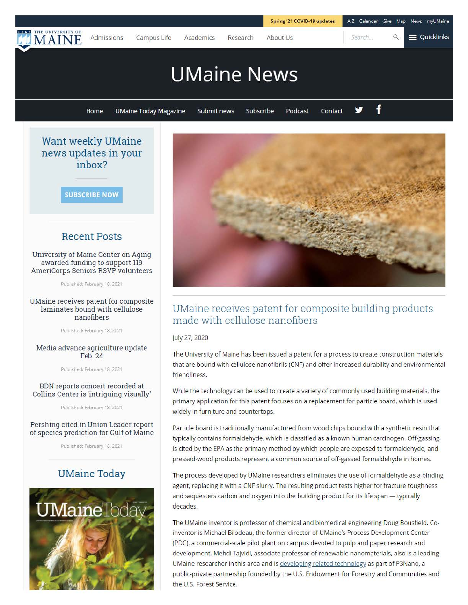